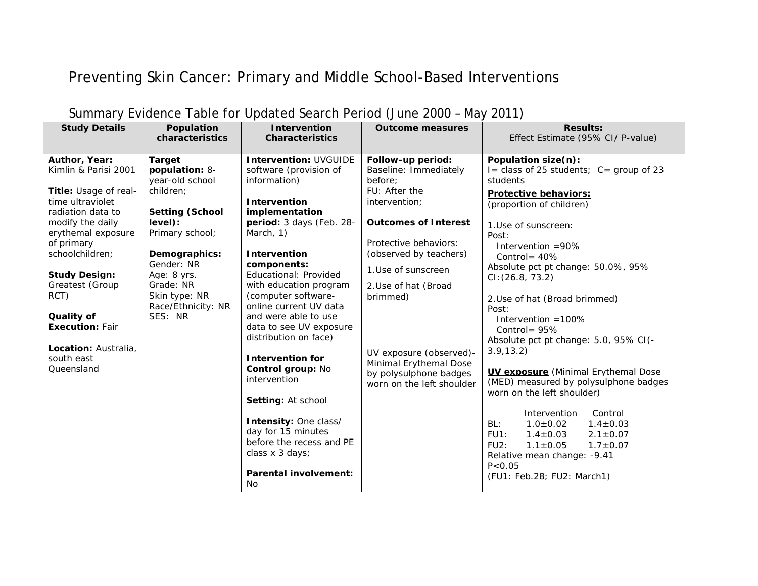## Preventing Skin Cancer: Primary and Middle School-Based Interventions

| <b>Study Details</b>                  | Population<br>characteristics     | <b>Intervention</b><br><b>Characteristics</b> | <b>Outcome measures</b>     | <b>Results:</b><br>Effect Estimate (95% CI/ P-value) |
|---------------------------------------|-----------------------------------|-----------------------------------------------|-----------------------------|------------------------------------------------------|
|                                       |                                   |                                               |                             |                                                      |
| Author, Year:                         | <b>Target</b>                     | <b>Intervention: UVGUIDE</b>                  | Follow-up period:           | Population size(n):                                  |
| Kimlin & Parisi 2001                  | population: 8-                    | software (provision of                        | Baseline: Immediately       | I = class of 25 students; $C =$ group of 23          |
|                                       | year-old school                   | information)                                  | before:                     | students                                             |
| Title: Usage of real-                 | children;                         |                                               | FU: After the               | <b>Protective behaviors:</b>                         |
| time ultraviolet                      |                                   | Intervention                                  | intervention;               | (proportion of children)                             |
| radiation data to<br>modify the daily | <b>Setting (School</b><br>level): | implementation<br>period: 3 days (Feb. 28-    | <b>Outcomes of Interest</b> |                                                      |
| erythemal exposure                    | Primary school;                   | March, 1)                                     |                             | 1. Use of sunscreen:                                 |
| of primary                            |                                   |                                               | Protective behaviors:       | Post:                                                |
| schoolchildren;                       | Demographics:                     | Intervention                                  | (observed by teachers)      | Intervention =90%<br>Control = $40\%$                |
|                                       | Gender: NR                        | components:                                   |                             | Absolute pct pt change: 50.0%, 95%                   |
| <b>Study Design:</b>                  | Age: 8 yrs.                       | Educational: Provided                         | 1.Use of sunscreen          | CI: (26.8, 73.2)                                     |
| Greatest (Group                       | Grade: NR                         | with education program                        | 2. Use of hat (Broad        |                                                      |
| RCT)                                  | Skin type: NR                     | (computer software-                           | brimmed)                    | 2. Use of hat (Broad brimmed)                        |
|                                       | Race/Ethnicity: NR                | online current UV data                        |                             | Post:                                                |
| Quality of                            | SES: NR                           | and were able to use                          |                             | Intervention $=100\%$                                |
| <b>Execution: Fair</b>                |                                   | data to see UV exposure                       |                             | Control = $95%$                                      |
|                                       |                                   | distribution on face)                         |                             | Absolute pct pt change: 5.0, 95% CI(-                |
| Location: Australia.                  |                                   |                                               | UV exposure (observed)-     | 3.9, 13.2)                                           |
| south east<br>Queensland              |                                   | <b>Intervention for</b><br>Control group: No  | Minimal Erythemal Dose      |                                                      |
|                                       |                                   | intervention                                  | by polysulphone badges      | <b>UV exposure</b> (Minimal Erythemal Dose           |
|                                       |                                   |                                               | worn on the left shoulder   | (MED) measured by polysulphone badges                |
|                                       |                                   | Setting: At school                            |                             | worn on the left shoulder)                           |
|                                       |                                   |                                               |                             | Intervention<br>Control                              |
|                                       |                                   | Intensity: One class/                         |                             | $1.0 \pm 0.02$<br>$1.4 \pm 0.03$<br>BL:              |
|                                       |                                   | day for 15 minutes                            |                             | $2.1 \pm 0.07$<br>FUI:<br>$1.4 \pm 0.03$             |
|                                       |                                   | before the recess and PE                      |                             | $1.1 \pm 0.05$<br>$1.7 \pm 0.07$<br>$FU2$ :          |
|                                       |                                   | class x 3 days;                               |                             | Relative mean change: - 9.41                         |
|                                       |                                   | <b>Parental involvement:</b>                  |                             | P < 0.05                                             |
|                                       |                                   | No                                            |                             | (FU1: Feb.28; FU2: March1)                           |

## Summary Evidence Table for Updated Search Period (June 2000 – May 2011)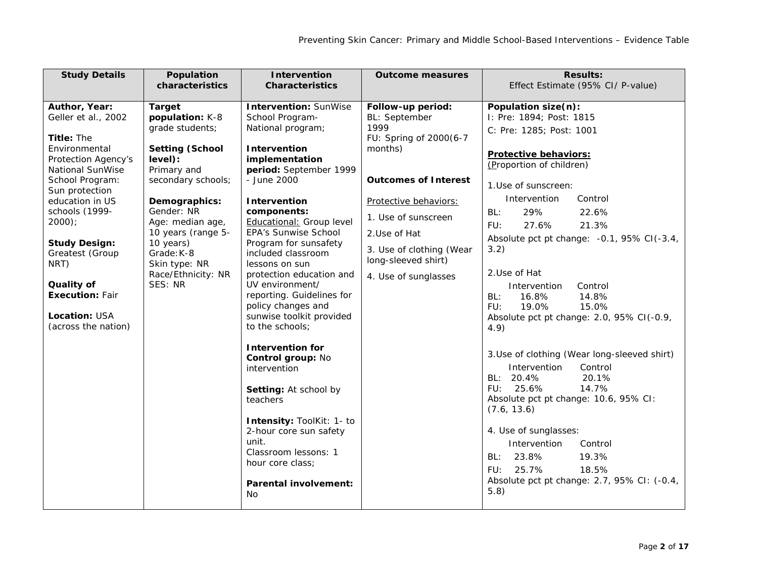| <b>Study Details</b>    | Population                             | Intervention                                     | <b>Outcome measures</b>     | <b>Results:</b>                              |
|-------------------------|----------------------------------------|--------------------------------------------------|-----------------------------|----------------------------------------------|
|                         | characteristics                        | <b>Characteristics</b>                           |                             | Effect Estimate (95% CI/ P-value)            |
|                         |                                        |                                                  |                             |                                              |
| Author, Year:           | <b>Target</b>                          | <b>Intervention: SunWise</b>                     | Follow-up period:           | Population size(n):                          |
| Geller et al., 2002     | population: K-8<br>grade students;     | School Program-<br>National program;             | BL: September<br>1999       | I: Pre: 1894; Post: 1815                     |
| Title: The              |                                        |                                                  | FU: Spring of 2000(6-7      | C: Pre: 1285; Post: 1001                     |
| Environmental           | <b>Setting (School</b>                 | Intervention                                     | months)                     |                                              |
| Protection Agency's     | level):                                | implementation                                   |                             | Protective behaviors:                        |
| <b>National SunWise</b> | Primary and                            | period: September 1999                           |                             | (Proportion of children)                     |
| School Program:         | secondary schools;                     | - June 2000                                      | <b>Outcomes of Interest</b> | 1.Use of sunscreen:                          |
| Sun protection          |                                        |                                                  |                             |                                              |
| education in US         | Demographics:                          | Intervention                                     | Protective behaviors:       | Intervention<br>Control                      |
| schools (1999-          | Gender: NR                             | components:                                      | 1. Use of sunscreen         | 29%<br>22.6%<br>BL:                          |
| $2000$ );               | Age: median age,<br>10 years (range 5- | Educational: Group level<br>EPA's Sunwise School |                             | 21.3%<br>FU:<br>27.6%                        |
| <b>Study Design:</b>    | 10 years)                              | Program for sunsafety                            | 2. Use of Hat               | Absolute pct pt change: -0.1, 95% CI(-3.4,   |
| Greatest (Group         | Grade: K-8                             | included classroom                               | 3. Use of clothing (Wear    | 3.2)                                         |
| NRT)                    | Skin type: NR                          | lessons on sun                                   | long-sleeved shirt)         |                                              |
|                         | Race/Ethnicity: NR                     | protection education and                         | 4. Use of sunglasses        | 2.Use of Hat                                 |
| Quality of              | SES: NR                                | UV environment/                                  |                             | Control<br>Intervention                      |
| <b>Execution: Fair</b>  |                                        | reporting. Guidelines for                        |                             | 14.8%<br>BL:<br>16.8%                        |
|                         |                                        | policy changes and                               |                             | 15.0%<br>FU:<br>19.0%                        |
| <b>Location: USA</b>    |                                        | sunwise toolkit provided                         |                             | Absolute pct pt change: 2.0, 95% CI(-0.9,    |
| (across the nation)     |                                        | to the schools;                                  |                             | 4.9)                                         |
|                         |                                        | <b>Intervention for</b>                          |                             |                                              |
|                         |                                        | Control group: No                                |                             | 3. Use of clothing (Wear long-sleeved shirt) |
|                         |                                        | intervention                                     |                             | Control<br>Intervention                      |
|                         |                                        |                                                  |                             | BL: 20.4%<br>20.1%                           |
|                         |                                        | Setting: At school by                            |                             | FU: 25.6%<br>14.7%                           |
|                         |                                        | teachers                                         |                             | Absolute pct pt change: 10.6, 95% CI:        |
|                         |                                        |                                                  |                             | (7.6, 13.6)                                  |
|                         |                                        | Intensity: ToolKit: 1- to                        |                             | 4. Use of sunglasses:                        |
|                         |                                        | 2-hour core sun safety<br>unit.                  |                             |                                              |
|                         |                                        | Classroom lessons: 1                             |                             | Intervention<br>Control                      |
|                         |                                        | hour core class;                                 |                             | 23.8%<br>19.3%<br>BL:                        |
|                         |                                        |                                                  |                             | 25.7%<br>18.5%<br>FU:                        |
|                         |                                        | <b>Parental involvement:</b>                     |                             | Absolute pct pt change: 2.7, 95% CI: (-0.4,  |
|                         |                                        | <b>No</b>                                        |                             | 5.8)                                         |
|                         |                                        |                                                  |                             |                                              |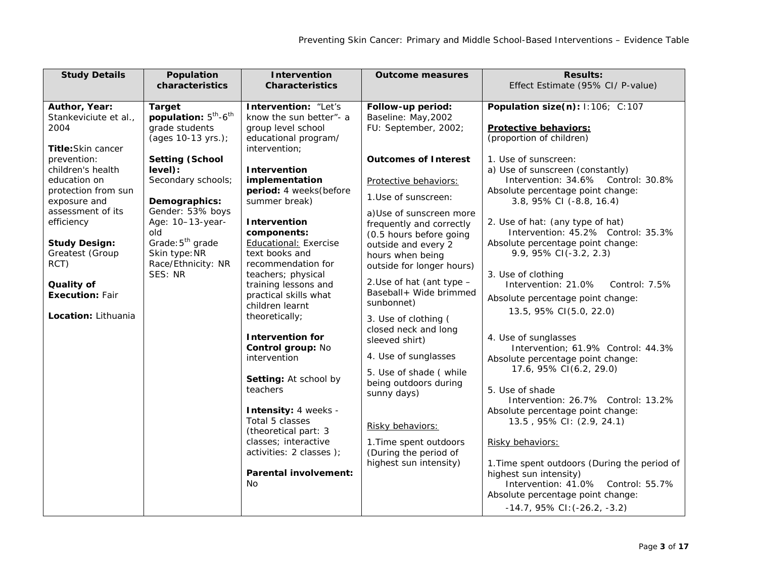| <b>Study Details</b>                                                                                                                                                                                                                                                                                                        | Population                                                                                                                                                                                                                                                                                                         | <b>Intervention</b>                                                                                                                                                                                                                                                                                                                                                                                                                                                                                                                                                                                                                                                                       | <b>Outcome measures</b>                                                                                                                                                                                                                                                                                                                                                                                                                                                                                                                                                                                                                       | <b>Results:</b>                                                                                                                                                                                                                                                                                                                                                                                                                                                                                                                                                                                                                                                                                                                                                                                                                                                                                                                                                                                              |
|-----------------------------------------------------------------------------------------------------------------------------------------------------------------------------------------------------------------------------------------------------------------------------------------------------------------------------|--------------------------------------------------------------------------------------------------------------------------------------------------------------------------------------------------------------------------------------------------------------------------------------------------------------------|-------------------------------------------------------------------------------------------------------------------------------------------------------------------------------------------------------------------------------------------------------------------------------------------------------------------------------------------------------------------------------------------------------------------------------------------------------------------------------------------------------------------------------------------------------------------------------------------------------------------------------------------------------------------------------------------|-----------------------------------------------------------------------------------------------------------------------------------------------------------------------------------------------------------------------------------------------------------------------------------------------------------------------------------------------------------------------------------------------------------------------------------------------------------------------------------------------------------------------------------------------------------------------------------------------------------------------------------------------|--------------------------------------------------------------------------------------------------------------------------------------------------------------------------------------------------------------------------------------------------------------------------------------------------------------------------------------------------------------------------------------------------------------------------------------------------------------------------------------------------------------------------------------------------------------------------------------------------------------------------------------------------------------------------------------------------------------------------------------------------------------------------------------------------------------------------------------------------------------------------------------------------------------------------------------------------------------------------------------------------------------|
|                                                                                                                                                                                                                                                                                                                             | characteristics                                                                                                                                                                                                                                                                                                    | <b>Characteristics</b>                                                                                                                                                                                                                                                                                                                                                                                                                                                                                                                                                                                                                                                                    |                                                                                                                                                                                                                                                                                                                                                                                                                                                                                                                                                                                                                                               | Effect Estimate (95% CI/ P-value)                                                                                                                                                                                                                                                                                                                                                                                                                                                                                                                                                                                                                                                                                                                                                                                                                                                                                                                                                                            |
| Author, Year:<br>Stankeviciute et al.,<br>2004<br><b>Title:</b> Skin cancer<br>prevention:<br>children's health<br>education on<br>protection from sun<br>exposure and<br>assessment of its<br>efficiency<br><b>Study Design:</b><br>Greatest (Group<br>RCT)<br>Quality of<br><b>Execution: Fair</b><br>Location: Lithuania | <b>Target</b><br>population: 5 <sup>th</sup> -6 <sup>th</sup><br>grade students<br>(ages 10-13 yrs.);<br><b>Setting (School</b><br>level):<br>Secondary schools;<br>Demographics:<br>Gender: 53% boys<br>Age: 10-13-year-<br>old<br>Grade: 5 <sup>th</sup> grade<br>Skin type: NR<br>Race/Ethnicity: NR<br>SES: NR | Intervention: "Let's<br>know the sun better"- a<br>group level school<br>educational program/<br>intervention;<br><b>Intervention</b><br>implementation<br>period: 4 weeks(before<br>summer break)<br>Intervention<br>components:<br><b>Educational: Exercise</b><br>text books and<br>recommendation for<br>teachers; physical<br>training lessons and<br>practical skills what<br>children learnt<br>theoretically;<br><b>Intervention for</b><br>Control group: No<br>intervention<br>Setting: At school by<br>teachers<br>Intensity: 4 weeks -<br>Total 5 classes<br>(theoretical part: 3)<br>classes; interactive<br>activities: 2 classes );<br><b>Parental involvement:</b><br>No. | Follow-up period:<br>Baseline: May, 2002<br>FU: September, 2002;<br><b>Outcomes of Interest</b><br>Protective behaviors:<br>1. Use of sunscreen:<br>a) Use of sunscreen more<br>frequently and correctly<br>(0.5 hours before going<br>outside and every 2<br>hours when being<br>outside for longer hours)<br>2. Use of hat (ant type -<br>Baseball+ Wide brimmed<br>sunbonnet)<br>3. Use of clothing (<br>closed neck and long<br>sleeved shirt)<br>4. Use of sunglasses<br>5. Use of shade (while<br>being outdoors during<br>sunny days)<br>Risky behaviors:<br>1. Time spent outdoors<br>(During the period of<br>highest sun intensity) | Population size(n): 1:106; C:107<br><b>Protective behaviors:</b><br>(proportion of children)<br>1. Use of sunscreen:<br>a) Use of sunscreen (constantly)<br>Intervention: 34.6% Control: 30.8%<br>Absolute percentage point change:<br>3.8, 95% CI (-8.8, 16.4)<br>2. Use of hat: (any type of hat)<br>Intervention: 45.2% Control: 35.3%<br>Absolute percentage point change:<br>9.9, 95% CI(-3.2, 2.3)<br>3. Use of clothing<br>Intervention: 21.0%<br>Control: 7.5%<br>Absolute percentage point change:<br>13.5, 95% CI(5.0, 22.0)<br>4. Use of sunglasses<br>Intervention; 61.9% Control: 44.3%<br>Absolute percentage point change:<br>17.6, 95% CI(6.2, 29.0)<br>5. Use of shade<br>Intervention: 26.7% Control: 13.2%<br>Absolute percentage point change:<br>13.5, 95% CI: (2.9, 24.1)<br>Risky behaviors:<br>1. Time spent outdoors (During the period of<br>highest sun intensity)<br>Intervention: 41.0% Control: 55.7%<br>Absolute percentage point change:<br>$-14.7,95\%$ CI: $(-26.2, -3.2)$ |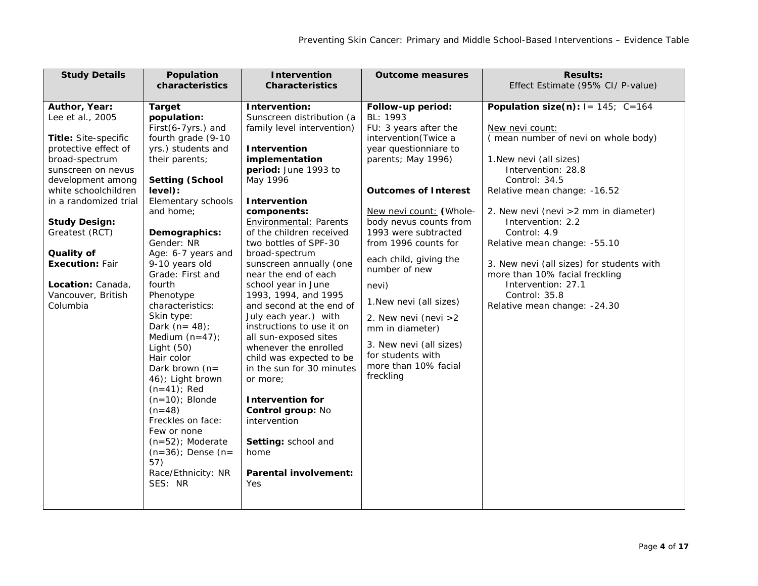| <b>Study Details</b>                                                                                                                                                                                                                                                                                                                     | Population                                                                                                                                                                                                                                                                                                                                                                                                                                                                                                                                                                                                                      | Intervention                                                                                                                                                                                                                                                                                                                                                                                                                                                                                                                                                                                                                                                                                                                    | <b>Outcome measures</b>                                                                                                                                                                                                                                                                                                                                                                                                                                                           | <b>Results:</b>                                                                                                                                                                                                                                                                                                                                                                                                                                                          |
|------------------------------------------------------------------------------------------------------------------------------------------------------------------------------------------------------------------------------------------------------------------------------------------------------------------------------------------|---------------------------------------------------------------------------------------------------------------------------------------------------------------------------------------------------------------------------------------------------------------------------------------------------------------------------------------------------------------------------------------------------------------------------------------------------------------------------------------------------------------------------------------------------------------------------------------------------------------------------------|---------------------------------------------------------------------------------------------------------------------------------------------------------------------------------------------------------------------------------------------------------------------------------------------------------------------------------------------------------------------------------------------------------------------------------------------------------------------------------------------------------------------------------------------------------------------------------------------------------------------------------------------------------------------------------------------------------------------------------|-----------------------------------------------------------------------------------------------------------------------------------------------------------------------------------------------------------------------------------------------------------------------------------------------------------------------------------------------------------------------------------------------------------------------------------------------------------------------------------|--------------------------------------------------------------------------------------------------------------------------------------------------------------------------------------------------------------------------------------------------------------------------------------------------------------------------------------------------------------------------------------------------------------------------------------------------------------------------|
|                                                                                                                                                                                                                                                                                                                                          | characteristics                                                                                                                                                                                                                                                                                                                                                                                                                                                                                                                                                                                                                 | <b>Characteristics</b>                                                                                                                                                                                                                                                                                                                                                                                                                                                                                                                                                                                                                                                                                                          |                                                                                                                                                                                                                                                                                                                                                                                                                                                                                   | Effect Estimate (95% CI/ P-value)                                                                                                                                                                                                                                                                                                                                                                                                                                        |
|                                                                                                                                                                                                                                                                                                                                          |                                                                                                                                                                                                                                                                                                                                                                                                                                                                                                                                                                                                                                 |                                                                                                                                                                                                                                                                                                                                                                                                                                                                                                                                                                                                                                                                                                                                 |                                                                                                                                                                                                                                                                                                                                                                                                                                                                                   |                                                                                                                                                                                                                                                                                                                                                                                                                                                                          |
| Author, Year:<br>Lee et al., 2005<br>Title: Site-specific<br>protective effect of<br>broad-spectrum<br>sunscreen on nevus<br>development among<br>white schoolchildren<br>in a randomized trial<br><b>Study Design:</b><br>Greatest (RCT)<br>Quality of<br><b>Execution: Fair</b><br>Location: Canada,<br>Vancouver, British<br>Columbia | <b>Target</b><br>population:<br>First(6-7yrs.) and<br>fourth grade (9-10<br>yrs.) students and<br>their parents;<br><b>Setting (School</b><br>level):<br>Elementary schools<br>and home:<br>Demographics:<br>Gender: NR<br>Age: 6-7 years and<br>9-10 years old<br>Grade: First and<br>fourth<br>Phenotype<br>characteristics:<br>Skin type:<br>Dark $(n=48)$ ;<br>Medium $(n=47)$ ;<br>Light $(50)$<br>Hair color<br>Dark brown $(n=$<br>46); Light brown<br>$(n=41)$ ; Red<br>$(n=10)$ ; Blonde<br>$(n=48)$<br>Freckles on face:<br>Few or none<br>$(n=52)$ ; Moderate<br>$(n=36)$ ; Dense $(n=$<br>57)<br>Race/Ethnicity: NR | Intervention:<br>Sunscreen distribution (a<br>family level intervention)<br>Intervention<br>implementation<br>period: June 1993 to<br>May 1996<br>Intervention<br>components:<br><b>Environmental: Parents</b><br>of the children received<br>two bottles of SPF-30<br>broad-spectrum<br>sunscreen annually (one<br>near the end of each<br>school year in June<br>1993, 1994, and 1995<br>and second at the end of<br>July each year.) with<br>instructions to use it on<br>all sun-exposed sites<br>whenever the enrolled<br>child was expected to be<br>in the sun for 30 minutes<br>or more;<br><b>Intervention for</b><br>Control group: No<br>intervention<br>Setting: school and<br>home<br><b>Parental involvement:</b> | Follow-up period:<br>BL: 1993<br>FU: 3 years after the<br>intervention(Twice a<br>year questionniare to<br>parents; May 1996)<br><b>Outcomes of Interest</b><br>New nevi count: (Whole-<br>body nevus counts from<br>1993 were subtracted<br>from 1996 counts for<br>each child, giving the<br>number of new<br>nevi)<br>1. New nevi (all sizes)<br>2. New nevi (nevi > 2<br>mm in diameter)<br>3. New nevi (all sizes)<br>for students with<br>more than 10% facial<br>freckling | Population size(n): $I = 145$ ; C=164<br>New nevi count:<br>(mean number of nevi on whole body)<br>1. New nevi (all sizes)<br>Intervention: 28.8<br>Control: 34.5<br>Relative mean change: - 16.52<br>2. New nevi (nevi > 2 mm in diameter)<br>Intervention: 2.2<br>Control: 4.9<br>Relative mean change: - 55.10<br>3. New nevi (all sizes) for students with<br>more than 10% facial freckling<br>Intervention: 27.1<br>Control: 35.8<br>Relative mean change: - 24.30 |
|                                                                                                                                                                                                                                                                                                                                          | SES: NR                                                                                                                                                                                                                                                                                                                                                                                                                                                                                                                                                                                                                         | Yes                                                                                                                                                                                                                                                                                                                                                                                                                                                                                                                                                                                                                                                                                                                             |                                                                                                                                                                                                                                                                                                                                                                                                                                                                                   |                                                                                                                                                                                                                                                                                                                                                                                                                                                                          |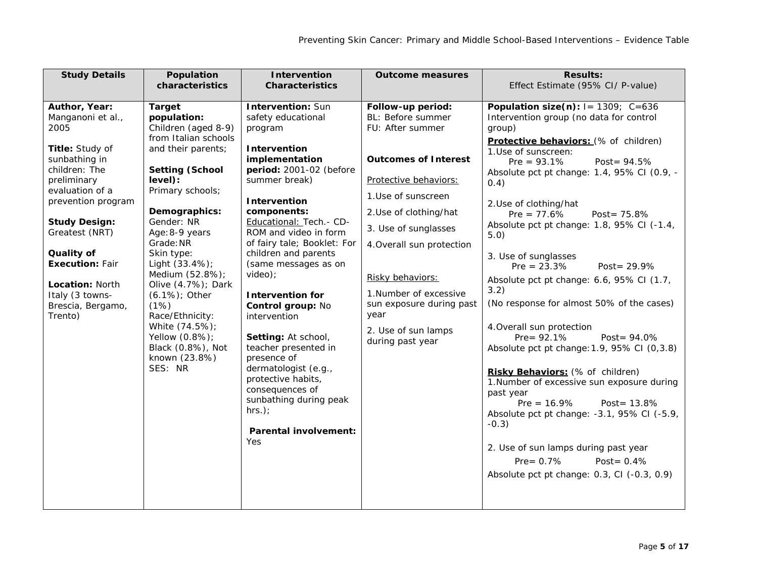| <b>Study Details</b>                                                                                                                                                                                                                                                                                            | Population<br>characteristics                                                                                                                                                                                                                                                                                                                                                                                                          | <b>Intervention</b><br><b>Characteristics</b>                                                                                                                                                                                                                                                                                                                                                                                                                                                                                                                                                      | <b>Outcome measures</b>                                                                                                                                                                                                                                                                                                                              | <b>Results:</b><br>Effect Estimate (95% CI/ P-value)                                                                                                                                                                                                                                                                                                                                                                                                                                                                                                                                                                                                                                                                                                                                                                                                                                                                                                                         |
|-----------------------------------------------------------------------------------------------------------------------------------------------------------------------------------------------------------------------------------------------------------------------------------------------------------------|----------------------------------------------------------------------------------------------------------------------------------------------------------------------------------------------------------------------------------------------------------------------------------------------------------------------------------------------------------------------------------------------------------------------------------------|----------------------------------------------------------------------------------------------------------------------------------------------------------------------------------------------------------------------------------------------------------------------------------------------------------------------------------------------------------------------------------------------------------------------------------------------------------------------------------------------------------------------------------------------------------------------------------------------------|------------------------------------------------------------------------------------------------------------------------------------------------------------------------------------------------------------------------------------------------------------------------------------------------------------------------------------------------------|------------------------------------------------------------------------------------------------------------------------------------------------------------------------------------------------------------------------------------------------------------------------------------------------------------------------------------------------------------------------------------------------------------------------------------------------------------------------------------------------------------------------------------------------------------------------------------------------------------------------------------------------------------------------------------------------------------------------------------------------------------------------------------------------------------------------------------------------------------------------------------------------------------------------------------------------------------------------------|
|                                                                                                                                                                                                                                                                                                                 |                                                                                                                                                                                                                                                                                                                                                                                                                                        |                                                                                                                                                                                                                                                                                                                                                                                                                                                                                                                                                                                                    |                                                                                                                                                                                                                                                                                                                                                      |                                                                                                                                                                                                                                                                                                                                                                                                                                                                                                                                                                                                                                                                                                                                                                                                                                                                                                                                                                              |
| Author, Year:<br>Manganoni et al.,<br>2005<br>Title: Study of<br>sunbathing in<br>children: The<br>preliminary<br>evaluation of a<br>prevention program<br><b>Study Design:</b><br>Greatest (NRT)<br>Quality of<br><b>Execution: Fair</b><br>Location: North<br>Italy (3 towns-<br>Brescia, Bergamo,<br>Trento) | <b>Target</b><br>population:<br>Children (aged 8-9)<br>from Italian schools<br>and their parents;<br><b>Setting (School</b><br>level):<br>Primary schools;<br>Demographics:<br>Gender: NR<br>Age: 8-9 years<br>Grade: NR<br>Skin type:<br>Light (33.4%);<br>Medium (52.8%);<br>Olive (4.7%); Dark<br>$(6.1\%)$ ; Other<br>(1%)<br>Race/Ethnicity:<br>White (74.5%);<br>Yellow (0.8%);<br>Black (0.8%), Not<br>known (23.8%)<br>SES: NR | <b>Intervention: Sun</b><br>safety educational<br>program<br><b>Intervention</b><br>implementation<br>period: 2001-02 (before<br>summer break)<br>Intervention<br>components:<br>Educational: Tech. - CD-<br>ROM and video in form<br>of fairy tale; Booklet: For<br>children and parents<br>(same messages as on<br>video);<br><b>Intervention for</b><br>Control group: No<br>intervention<br>Setting: At school,<br>teacher presented in<br>presence of<br>dermatologist (e.g.,<br>protective habits,<br>consequences of<br>sunbathing during peak<br>$hrs.$ );<br>Parental involvement:<br>Yes | Follow-up period:<br>BL: Before summer<br>FU: After summer<br><b>Outcomes of Interest</b><br>Protective behaviors:<br>1.Use of sunscreen<br>2. Use of clothing/hat<br>3. Use of sunglasses<br>4. Overall sun protection<br>Risky behaviors:<br>1. Number of excessive<br>sun exposure during past<br>year<br>2. Use of sun lamps<br>during past year | Population size(n): $I = 1309$ ; $C = 636$<br>Intervention group (no data for control<br>group)<br>Protective behaviors: (% of children)<br>1. Use of sunscreen:<br>$Pre = 93.1\%$<br>Post = $94.5%$<br>Absolute pct pt change: 1.4, 95% CI (0.9, -<br>0.4)<br>2. Use of clothing/hat<br>Post= $75.8%$<br>$Pre = 77.6%$<br>Absolute pct pt change: 1.8, 95% CI (-1.4,<br>5.0)<br>3. Use of sunglasses<br>$Pre = 23.3%$<br>Post = $29.9%$<br>Absolute pct pt change: 6.6, 95% CI (1.7,<br>3.2)<br>(No response for almost 50% of the cases)<br>4. Overall sun protection<br>Pre= $92.1%$<br>Post = $94.0%$<br>Absolute pct pt change: 1.9, 95% CI (0,3.8)<br>Risky Behaviors: (% of children)<br>1. Number of excessive sun exposure during<br>past year<br>$Pre = 16.9\%$<br>Post = $13.8%$<br>Absolute pct pt change: -3.1, 95% CI (-5.9,<br>$-0.3)$<br>2. Use of sun lamps during past year<br>$Pre = 0.7%$<br>Post= $0.4%$<br>Absolute pct pt change: 0.3, CI (-0.3, 0.9) |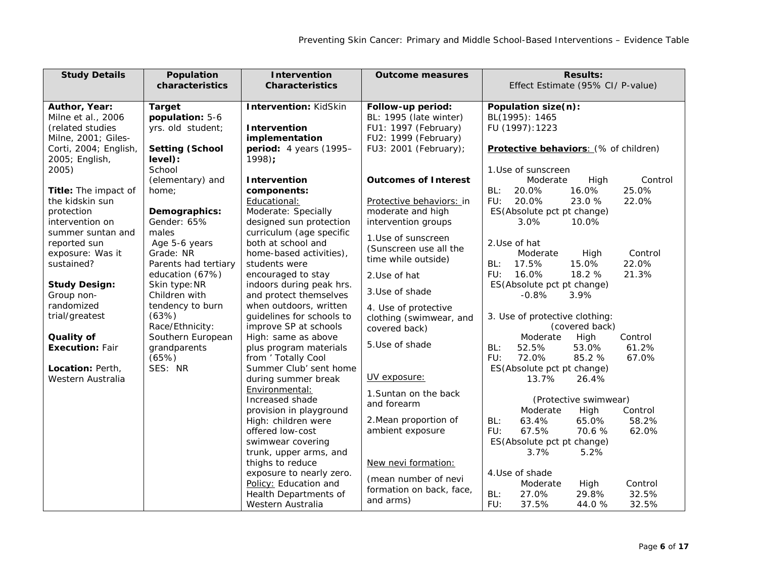| <b>Study Details</b>                | Population                       | <b>Intervention</b>                   | <b>Outcome measures</b>                     | <b>Results:</b>                       |
|-------------------------------------|----------------------------------|---------------------------------------|---------------------------------------------|---------------------------------------|
|                                     | characteristics                  | <b>Characteristics</b>                |                                             | Effect Estimate (95% CI/ P-value)     |
|                                     |                                  |                                       |                                             |                                       |
| Author, Year:<br>Milne et al., 2006 | <b>Target</b><br>population: 5-6 | <b>Intervention: KidSkin</b>          | Follow-up period:<br>BL: 1995 (late winter) | Population size(n):<br>BL(1995): 1465 |
| (related studies                    | yrs. old student;                | Intervention                          | FU1: 1997 (February)                        | FU (1997): 1223                       |
| Milne, 2001; Giles-                 |                                  | implementation                        | FU2: 1999 (February)                        |                                       |
| Corti, 2004; English,               | <b>Setting (School</b>           | period: 4 years (1995-                | FU3: 2001 (February);                       | Protective behaviors: (% of children) |
| 2005; English,                      | level):                          | $1998$ :                              |                                             |                                       |
| 2005)                               | School                           |                                       |                                             | 1.Use of sunscreen                    |
|                                     | (elementary) and                 | Intervention                          | <b>Outcomes of Interest</b>                 | Moderate<br>Control<br>High           |
| Title: The impact of                | home;                            | components:                           |                                             | BL:<br>20.0%<br>16.0%<br>25.0%        |
| the kidskin sun                     |                                  | Educational:                          | Protective behaviors: in                    | FU:<br>20.0%<br>23.0%<br>22.0%        |
| protection                          | Demographics:                    | Moderate: Specially                   | moderate and high                           | ES(Absolute pct pt change)            |
| intervention on                     | Gender: 65%                      | designed sun protection               | intervention groups                         | 3.0%<br>10.0%                         |
| summer suntan and                   | males                            | curriculum (age specific              |                                             |                                       |
| reported sun                        | Age 5-6 years                    | both at school and                    | 1.Use of sunscreen                          | 2.Use of hat                          |
| exposure: Was it                    | Grade: NR                        | home-based activities),               | (Sunscreen use all the                      | Control<br>Moderate<br>High           |
| sustained?                          | Parents had tertiary             | students were                         | time while outside)                         | 22.0%<br>17.5%<br>15.0%<br>BL:        |
|                                     | education (67%)                  | encouraged to stay                    | 2.Use of hat                                | 16.0%<br>FU:<br>18.2 %<br>21.3%       |
| <b>Study Design:</b>                | Skin type: NR                    | indoors during peak hrs.              |                                             | ES(Absolute pct pt change)            |
| Group non-                          | Children with                    | and protect themselves                | 3. Use of shade                             | $-0.8%$<br>3.9%                       |
| randomized                          | tendency to burn                 | when outdoors, written                | 4. Use of protective                        |                                       |
| trial/greatest                      | (63%)                            | quidelines for schools to             | clothing (swimwear, and                     | 3. Use of protective clothing:        |
|                                     | Race/Ethnicity:                  | improve SP at schools                 | covered back)                               | (covered back)                        |
| Quality of                          | Southern European                | High: same as above                   | 5. Use of shade                             | Control<br>Moderate<br>High           |
| <b>Execution: Fair</b>              | grandparents                     | plus program materials                |                                             | BL:<br>52.5%<br>53.0%<br>61.2%        |
|                                     | (65%)                            | from ' Totally Cool                   |                                             | FU:<br>72.0%<br>85.2 %<br>67.0%       |
| Location: Perth,                    | SES: NR                          | Summer Club' sent home                | UV exposure:                                | ES(Absolute pct pt change)            |
| Western Australia                   |                                  | during summer break<br>Environmental: |                                             | 26.4%<br>13.7%                        |
|                                     |                                  | Increased shade                       | 1. Suntan on the back                       | (Protective swimwear)                 |
|                                     |                                  | provision in playground               | and forearm                                 | Moderate<br>High<br>Control           |
|                                     |                                  | High: children were                   | 2. Mean proportion of                       | 63.4%<br>65.0%<br>58.2%<br>BL:        |
|                                     |                                  | offered low-cost                      | ambient exposure                            | 70.6%<br>FU:<br>67.5%<br>62.0%        |
|                                     |                                  | swimwear covering                     |                                             | ES(Absolute pct pt change)            |
|                                     |                                  | trunk, upper arms, and                |                                             | 3.7%<br>5.2%                          |
|                                     |                                  | thighs to reduce                      | New nevi formation:                         |                                       |
|                                     |                                  | exposure to nearly zero.              |                                             | 4. Use of shade                       |
|                                     |                                  | Policy: Education and                 | (mean number of nevi                        | Control<br>Moderate<br>High           |
|                                     |                                  | Health Departments of                 | formation on back, face,                    | 27.0%<br>29.8%<br>32.5%<br>BL:        |
|                                     |                                  | Western Australia                     | and arms)                                   | FU:<br>37.5%<br>32.5%<br>44.0%        |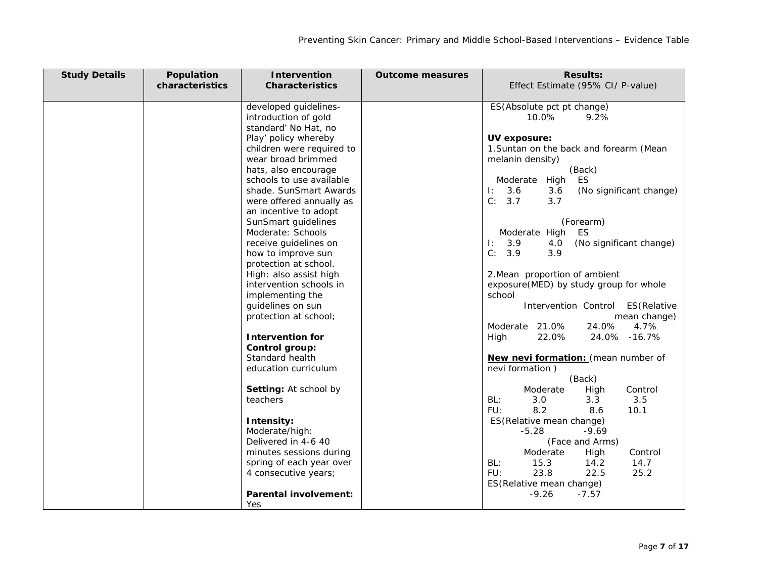| <b>Study Details</b> | Population      | <b>Intervention</b>                               | <b>Outcome measures</b> | <b>Results:</b>                                        |
|----------------------|-----------------|---------------------------------------------------|-------------------------|--------------------------------------------------------|
|                      | characteristics | <b>Characteristics</b>                            |                         | Effect Estimate (95% CI/ P-value)                      |
|                      |                 | developed guidelines-                             |                         | ES(Absolute pct pt change)                             |
|                      |                 | introduction of gold                              |                         | 10.0%<br>9.2%                                          |
|                      |                 | standard' No Hat, no                              |                         |                                                        |
|                      |                 | Play' policy whereby                              |                         | UV exposure:                                           |
|                      |                 | children were required to                         |                         | 1. Suntan on the back and forearm (Mean                |
|                      |                 | wear broad brimmed                                |                         | melanin density)                                       |
|                      |                 | hats, also encourage<br>schools to use available  |                         | (Back)<br>ES<br>Moderate High                          |
|                      |                 | shade. SunSmart Awards                            |                         | 1: 3.6<br>3.6<br>(No significant change)               |
|                      |                 | were offered annually as                          |                         | C: 3.7<br>3.7                                          |
|                      |                 | an incentive to adopt                             |                         |                                                        |
|                      |                 | SunSmart guidelines                               |                         | (Forearm)                                              |
|                      |                 | Moderate: Schools                                 |                         | Moderate High ES                                       |
|                      |                 | receive guidelines on                             |                         | $\mathbf{E}$<br>3.9<br>4.0<br>(No significant change)  |
|                      |                 | how to improve sun                                |                         | C: 3.9<br>3.9                                          |
|                      |                 | protection at school.                             |                         | 2. Mean proportion of ambient                          |
|                      |                 | High: also assist high<br>intervention schools in |                         | exposure(MED) by study group for whole                 |
|                      |                 | implementing the                                  |                         | school                                                 |
|                      |                 | guidelines on sun                                 |                         | Intervention Control ES(Relative                       |
|                      |                 | protection at school;                             |                         | mean change)                                           |
|                      |                 |                                                   |                         | Moderate 21.0%<br>24.0%<br>4.7%                        |
|                      |                 | <b>Intervention for</b>                           |                         | 22.0%<br>24.0% -16.7%<br>High                          |
|                      |                 | Control group:                                    |                         |                                                        |
|                      |                 | Standard health<br>education curriculum           |                         | New nevi formation: (mean number of<br>nevi formation) |
|                      |                 |                                                   |                         | (Back)                                                 |
|                      |                 | Setting: At school by                             |                         | Control<br>Moderate<br>High                            |
|                      |                 | teachers                                          |                         | BL:<br>3.0<br>3.3<br>3.5                               |
|                      |                 |                                                   |                         | 8.2<br>FU:<br>10.1<br>8.6                              |
|                      |                 | Intensity:                                        |                         | ES(Relative mean change)                               |
|                      |                 | Moderate/high:                                    |                         | $-9.69$<br>$-5.28$                                     |
|                      |                 | Delivered in 4-6 40                               |                         | (Face and Arms)                                        |
|                      |                 | minutes sessions during                           |                         | Moderate<br>High<br>Control<br>BL:<br>15.3<br>14.7     |
|                      |                 | spring of each year over<br>4 consecutive years;  |                         | 14.2<br>FU:<br>23.8<br>22.5<br>25.2                    |
|                      |                 |                                                   |                         | ES(Relative mean change)                               |
|                      |                 | <b>Parental involvement:</b>                      |                         | $-9.26$<br>$-7.57$                                     |
|                      |                 | Yes                                               |                         |                                                        |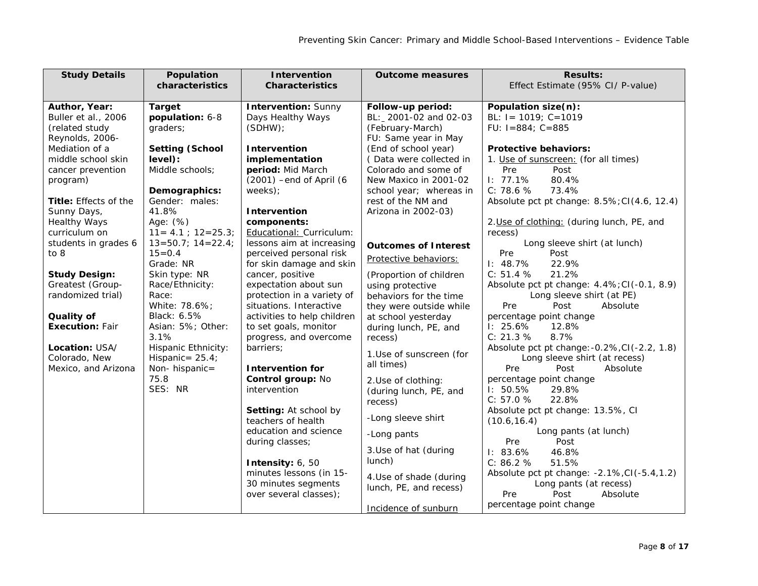| <b>Study Details</b>   | Population                  | <b>Intervention</b>         | <b>Outcome measures</b>     | <b>Results:</b>                              |
|------------------------|-----------------------------|-----------------------------|-----------------------------|----------------------------------------------|
|                        | characteristics             | <b>Characteristics</b>      |                             | Effect Estimate (95% CI/ P-value)            |
|                        |                             |                             |                             |                                              |
| Author, Year:          | <b>Target</b>               | <b>Intervention: Sunny</b>  | Follow-up period:           | Population size(n):                          |
| Buller et al., 2006    | population: 6-8             | Days Healthy Ways           | BL: 2001-02 and 02-03       | BL: $I = 1019$ ; $C = 1019$                  |
| (related study         | graders;                    | (SDHW)                      | (February-March)            | FU: $I = 884$ ; $C = 885$                    |
| Reynolds, 2006-        |                             |                             | FU: Same year in May        |                                              |
| Mediation of a         | <b>Setting (School</b>      | Intervention                | (End of school year)        | <b>Protective behaviors:</b>                 |
| middle school skin     | level):                     | implementation              | (Data were collected in     | 1. Use of sunscreen: (for all times)         |
| cancer prevention      | Middle schools:             | period: Mid March           | Colorado and some of        | Pre<br>Post                                  |
| program)               |                             | $(2001)$ -end of April $(6$ | New Maxico in 2001-02       | 1: 77.1%<br>80.4%                            |
|                        | Demographics:               | weeks);                     | school year; whereas in     | C: 78.6 %<br>73.4%                           |
| Title: Effects of the  | Gender: males:              |                             | rest of the NM and          | Absolute pct pt change: 8.5%; CI(4.6, 12.4)  |
| Sunny Days,            | 41.8%                       | Intervention                | Arizona in 2002-03)         |                                              |
| <b>Healthy Ways</b>    | Age: (%)                    | components:                 |                             | 2. Use of clothing: (during lunch, PE, and   |
| curriculum on          | $11 = 4.1$ ; $12 = 25.3$ ;  | Educational: Curriculum:    |                             | recess)                                      |
| students in grades 6   | $13 = 50.7$ ; $14 = 22.4$ ; | lessons aim at increasing   | <b>Outcomes of Interest</b> | Long sleeve shirt (at lunch)                 |
| to 8                   | $15 = 0.4$                  | perceived personal risk     |                             | Post<br>Pre                                  |
|                        | Grade: NR                   | for skin damage and skin    | Protective behaviors:       | $1: 48.7\%$<br>22.9%                         |
| <b>Study Design:</b>   | Skin type: NR               | cancer, positive            | (Proportion of children     | 21.2%<br>C: 51.4 %                           |
| Greatest (Group-       | Race/Ethnicity:             | expectation about sun       | using protective            | Absolute pct pt change: 4.4%; CI(-0.1, 8.9)  |
| randomized trial)      | Race:                       | protection in a variety of  | behaviors for the time      | Long sleeve shirt (at PE)                    |
|                        | White: 78.6%;               | situations. Interactive     | they were outside while     | Pre<br>Post<br>Absolute                      |
| Quality of             | Black: 6.5%                 | activities to help children | at school yesterday         | percentage point change                      |
| <b>Execution: Fair</b> | Asian: 5%; Other:           | to set goals, monitor       | during lunch, PE, and       | 1: 25.6%<br>12.8%                            |
|                        | 3.1%                        | progress, and overcome      | recess)                     | C: 21.3 %<br>8.7%                            |
| Location: USA/         | Hispanic Ethnicity:         | barriers;                   |                             | Absolute pct pt change: -0.2%, CI(-2.2, 1.8) |
| Colorado, New          | Hispanic= $25.4$ ;          |                             | 1.Use of sunscreen (for     | Long sleeve shirt (at recess)                |
| Mexico, and Arizona    | Non-hispanic=               | <b>Intervention for</b>     | all times)                  | Pre<br>Post<br>Absolute                      |
|                        | 75.8                        | Control group: No           | 2.Use of clothing:          | percentage point change                      |
|                        | SES: NR                     | intervention                | (during lunch, PE, and      | 1: 50.5%<br>29.8%                            |
|                        |                             |                             | recess)                     | 22.8%<br>C: 57.0 %                           |
|                        |                             | Setting: At school by       |                             | Absolute pct pt change: 13.5%, CI            |
|                        |                             | teachers of health          | -Long sleeve shirt          | (10.6, 16.4)                                 |
|                        |                             | education and science       | -Long pants                 | Long pants (at lunch)                        |
|                        |                             | during classes;             |                             | Post<br>Pre                                  |
|                        |                             |                             | 3. Use of hat (during       | 1: 83.6%<br>46.8%                            |
|                        |                             | Intensity: 6, 50            | lunch)                      | C: 86.2 %<br>51.5%                           |
|                        |                             | minutes lessons (in 15-     | 4. Use of shade (during     | Absolute pct pt change: -2.1%, CI(-5.4, 1.2) |
|                        |                             | 30 minutes segments         | lunch, PE, and recess)      | Long pants (at recess)                       |
|                        |                             | over several classes);      |                             | Post<br>Pre<br>Absolute                      |
|                        |                             |                             |                             | percentage point change                      |
|                        |                             |                             | Incidence of sunburn        |                                              |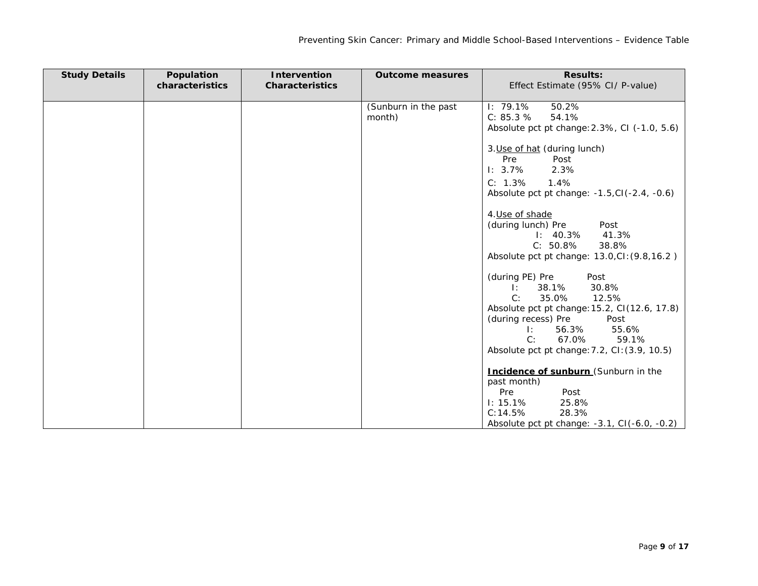| <b>Study Details</b> | Population      | <b>Intervention</b>    | <b>Outcome measures</b> | <b>Results:</b>                                    |
|----------------------|-----------------|------------------------|-------------------------|----------------------------------------------------|
|                      | characteristics | <b>Characteristics</b> |                         | Effect Estimate (95% CI/ P-value)                  |
|                      |                 |                        |                         |                                                    |
|                      |                 |                        | (Sunburn in the past    | 1: 79.1%<br>50.2%                                  |
|                      |                 |                        | month)                  | 54.1%<br>C: 85.3 %                                 |
|                      |                 |                        |                         | Absolute pct pt change: 2.3%, CI (-1.0, 5.6)       |
|                      |                 |                        |                         | 3. Use of hat (during lunch)                       |
|                      |                 |                        |                         | Pre<br>Post                                        |
|                      |                 |                        |                         | $1: 3.7\%$<br>2.3%                                 |
|                      |                 |                        |                         | C: 1.3%<br>1.4%                                    |
|                      |                 |                        |                         | Absolute pct pt change: $-1.5$ , CI $(-2.4, -0.6)$ |
|                      |                 |                        |                         |                                                    |
|                      |                 |                        |                         | 4. Use of shade                                    |
|                      |                 |                        |                         | (during lunch) Pre<br>Post                         |
|                      |                 |                        |                         | $1: 40.3\% 41.3\%$                                 |
|                      |                 |                        |                         | $C: 50.8\%$<br>38.8%                               |
|                      |                 |                        |                         | Absolute pct pt change: 13.0, CI: (9.8, 16.2)      |
|                      |                 |                        |                         | (during PE) Pre<br>Post                            |
|                      |                 |                        |                         | 38.1%<br>30.8%<br>$\mathbb{R}$                     |
|                      |                 |                        |                         | 35.0%<br>C:<br>12.5%                               |
|                      |                 |                        |                         | Absolute pct pt change: 15.2, CI(12.6, 17.8)       |
|                      |                 |                        |                         | (during recess) Pre<br>Post                        |
|                      |                 |                        |                         | 56.3% 55.6%<br>T:                                  |
|                      |                 |                        |                         | C:<br>67.0%<br>59.1%                               |
|                      |                 |                        |                         | Absolute pct pt change: 7.2, CI: (3.9, 10.5)       |
|                      |                 |                        |                         | Incidence of sunburn (Sunburn in the               |
|                      |                 |                        |                         | past month)                                        |
|                      |                 |                        |                         | Pre<br>Post                                        |
|                      |                 |                        |                         | $1: 15.1\%$<br>25.8%                               |
|                      |                 |                        |                         | 28.3%<br>C: 14.5%                                  |
|                      |                 |                        |                         | Absolute pct pt change: -3.1, CI(-6.0, -0.2)       |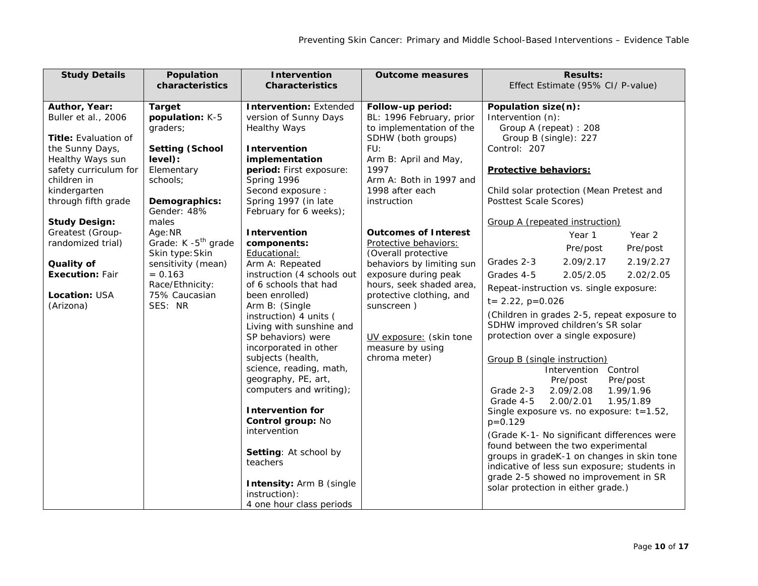| <b>Study Details</b>                                                                                                                                                                      | Population<br>characteristics                                                                                                                            | <b>Intervention</b><br><b>Characteristics</b>                                                                                                                                                                                                                                                                                                                                                                                                                                                                                                          | <b>Outcome measures</b>                                                                                                                                                                                                                                                | <b>Results:</b><br>Effect Estimate (95% CI/ P-value)                                                                                                                                                                                                                                                                                                                                                                                                                                                                                                                                                                                                                                                                                                                                                                                                      |
|-------------------------------------------------------------------------------------------------------------------------------------------------------------------------------------------|----------------------------------------------------------------------------------------------------------------------------------------------------------|--------------------------------------------------------------------------------------------------------------------------------------------------------------------------------------------------------------------------------------------------------------------------------------------------------------------------------------------------------------------------------------------------------------------------------------------------------------------------------------------------------------------------------------------------------|------------------------------------------------------------------------------------------------------------------------------------------------------------------------------------------------------------------------------------------------------------------------|-----------------------------------------------------------------------------------------------------------------------------------------------------------------------------------------------------------------------------------------------------------------------------------------------------------------------------------------------------------------------------------------------------------------------------------------------------------------------------------------------------------------------------------------------------------------------------------------------------------------------------------------------------------------------------------------------------------------------------------------------------------------------------------------------------------------------------------------------------------|
|                                                                                                                                                                                           |                                                                                                                                                          |                                                                                                                                                                                                                                                                                                                                                                                                                                                                                                                                                        |                                                                                                                                                                                                                                                                        |                                                                                                                                                                                                                                                                                                                                                                                                                                                                                                                                                                                                                                                                                                                                                                                                                                                           |
| Author, Year:<br>Buller et al., 2006<br><b>Title: Evaluation of</b><br>the Sunny Days,<br>Healthy Ways sun<br>safety curriculum for<br>children in<br>kindergarten<br>through fifth grade | <b>Target</b><br>population: K-5<br>graders;<br><b>Setting (School</b><br>level):<br>Elementary<br>schools;<br>Demographics:<br>Gender: 48%              | <b>Intervention: Extended</b><br>version of Sunny Days<br><b>Healthy Ways</b><br>Intervention<br>implementation<br>period: First exposure:<br>Spring 1996<br>Second exposure :<br>Spring 1997 (in late<br>February for 6 weeks);                                                                                                                                                                                                                                                                                                                       | Follow-up period:<br>BL: 1996 February, prior<br>to implementation of the<br>SDHW (both groups)<br>FU:<br>Arm B: April and May,<br>1997<br>Arm A: Both in 1997 and<br>1998 after each<br>instruction                                                                   | Population size(n):<br>Intervention (n):<br>Group A (repeat) : 208<br>Group B (single): 227<br>Control: 207<br><b>Protective behaviors:</b><br>Child solar protection (Mean Pretest and<br>Posttest Scale Scores)                                                                                                                                                                                                                                                                                                                                                                                                                                                                                                                                                                                                                                         |
| <b>Study Design:</b><br>Greatest (Group-<br>randomized trial)<br>Quality of<br><b>Execution: Fair</b><br>Location: USA<br>(Arizona)                                                       | males<br>Age: NR<br>Grade: K -5 <sup>th</sup> grade<br>Skin type: Skin<br>sensitivity (mean)<br>$= 0.163$<br>Race/Ethnicity:<br>75% Caucasian<br>SES: NR | Intervention<br>components:<br>Educational:<br>Arm A: Repeated<br>instruction (4 schools out<br>of 6 schools that had<br>been enrolled)<br>Arm B: (Single<br>instruction) 4 units (<br>Living with sunshine and<br>SP behaviors) were<br>incorporated in other<br>subjects (health,<br>science, reading, math,<br>geography, PE, art,<br>computers and writing);<br><b>Intervention for</b><br>Control group: No<br>intervention<br>Setting: At school by<br>teachers<br><b>Intensity: Arm B (single)</b><br>instruction):<br>4 one hour class periods | <b>Outcomes of Interest</b><br>Protective behaviors:<br>(Overall protective<br>behaviors by limiting sun<br>exposure during peak<br>hours, seek shaded area,<br>protective clothing, and<br>sunscreen)<br>UV exposure: (skin tone<br>measure by using<br>chroma meter) | Group A (repeated instruction)<br>Year 2<br>Year 1<br>Pre/post<br>Pre/post<br>2.09/2.17<br>2.19/2.27<br>Grades 2-3<br>2.02/2.05<br>Grades 4-5<br>2.05/2.05<br>Repeat-instruction vs. single exposure:<br>$t = 2.22$ , $p=0.026$<br>(Children in grades 2-5, repeat exposure to<br>SDHW improved children's SR solar<br>protection over a single exposure)<br><b>Group B (single instruction)</b><br>Intervention Control<br>Pre/post<br>Pre/post<br>2.09/2.08<br>1.99/1.96<br>Grade 2-3<br>Grade 4-5<br>2.00/2.01<br>1.95/1.89<br>Single exposure vs. no exposure: t=1.52,<br>$p=0.129$<br>(Grade K-1- No significant differences were<br>found between the two experimental<br>groups in gradeK-1 on changes in skin tone<br>indicative of less sun exposure; students in<br>grade 2-5 showed no improvement in SR<br>solar protection in either grade.) |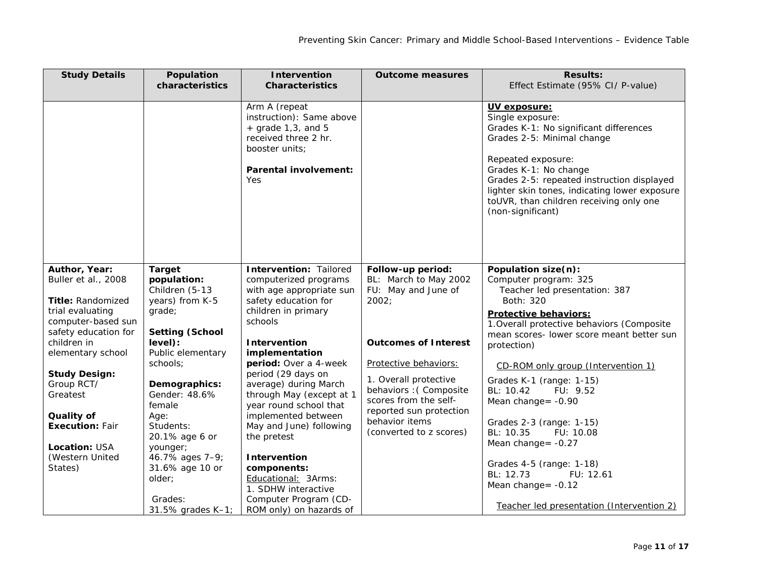| <b>Study Details</b>                   | Population<br>characteristics     | <b>Intervention</b><br><b>Characteristics</b>                                                                                                      | <b>Outcome measures</b>                         | <b>Results:</b><br>Effect Estimate (95% CI/ P-value)                                                                                                                                                                                                                                                                   |
|----------------------------------------|-----------------------------------|----------------------------------------------------------------------------------------------------------------------------------------------------|-------------------------------------------------|------------------------------------------------------------------------------------------------------------------------------------------------------------------------------------------------------------------------------------------------------------------------------------------------------------------------|
|                                        |                                   |                                                                                                                                                    |                                                 |                                                                                                                                                                                                                                                                                                                        |
|                                        |                                   | Arm A (repeat<br>instruction): Same above<br>$+$ grade 1,3, and 5<br>received three 2 hr.<br>booster units;<br><b>Parental involvement:</b><br>Yes |                                                 | UV exposure:<br>Single exposure:<br>Grades K-1: No significant differences<br>Grades 2-5: Minimal change<br>Repeated exposure:<br>Grades K-1: No change<br>Grades 2-5: repeated instruction displayed<br>lighter skin tones, indicating lower exposure<br>toUVR, than children receiving only one<br>(non-significant) |
| Author, Year:<br>Buller et al., 2008   | <b>Target</b><br>population:      | <b>Intervention: Tailored</b><br>computerized programs                                                                                             | Follow-up period:<br>BL: March to May 2002      | Population size(n):<br>Computer program: 325                                                                                                                                                                                                                                                                           |
| Title: Randomized                      | Children (5-13<br>years) from K-5 | with age appropriate sun<br>safety education for                                                                                                   | FU: May and June of<br>2002;                    | Teacher led presentation: 387<br>Both: 320                                                                                                                                                                                                                                                                             |
| trial evaluating<br>computer-based sun | grade;                            | children in primary<br>schools                                                                                                                     |                                                 | <b>Protective behaviors:</b><br>1. Overall protective behaviors (Composite                                                                                                                                                                                                                                             |
| safety education for                   | <b>Setting (School</b>            |                                                                                                                                                    |                                                 | mean scores- lower score meant better sun                                                                                                                                                                                                                                                                              |
| children in<br>elementary school       | level):<br>Public elementary      | <b>Intervention</b><br>implementation                                                                                                              | <b>Outcomes of Interest</b>                     | protection)                                                                                                                                                                                                                                                                                                            |
| <b>Study Design:</b>                   | schools;                          | period: Over a 4-week<br>period (29 days on                                                                                                        | Protective behaviors:                           | CD-ROM only group (Intervention 1)                                                                                                                                                                                                                                                                                     |
| Group RCT/                             | Demographics:                     | average) during March                                                                                                                              | 1. Overall protective<br>behaviors : (Composite | Grades K-1 (range: 1-15)<br>BL: 10.42<br>FU: 9.52                                                                                                                                                                                                                                                                      |
| Greatest                               | Gender: 48.6%<br>female           | through May (except at 1<br>year round school that                                                                                                 | scores from the self-                           | Mean change = - 0.90                                                                                                                                                                                                                                                                                                   |
| Quality of                             | Age:                              | implemented between                                                                                                                                | reported sun protection<br>behavior items       | Grades 2-3 (range: 1-15)                                                                                                                                                                                                                                                                                               |
| <b>Execution: Fair</b>                 | Students:<br>20.1% age 6 or       | May and June) following<br>the pretest                                                                                                             | (converted to z scores)                         | BL: 10.35<br>FU: 10.08                                                                                                                                                                                                                                                                                                 |
| Location: USA                          | younger;                          |                                                                                                                                                    |                                                 | Mean change = $-0.27$                                                                                                                                                                                                                                                                                                  |
| (Western United                        | 46.7% ages 7-9;                   | Intervention                                                                                                                                       |                                                 | Grades 4-5 (range: 1-18)                                                                                                                                                                                                                                                                                               |
| States)                                | 31.6% age 10 or<br>older;         | components:<br>Educational: 3Arms:<br>1. SDHW interactive                                                                                          |                                                 | BL: 12.73<br>FU: 12.61<br>Mean change = - 0.12                                                                                                                                                                                                                                                                         |
|                                        | Grades:<br>31.5% grades K-1;      | Computer Program (CD-<br>ROM only) on hazards of                                                                                                   |                                                 | Teacher led presentation (Intervention 2)                                                                                                                                                                                                                                                                              |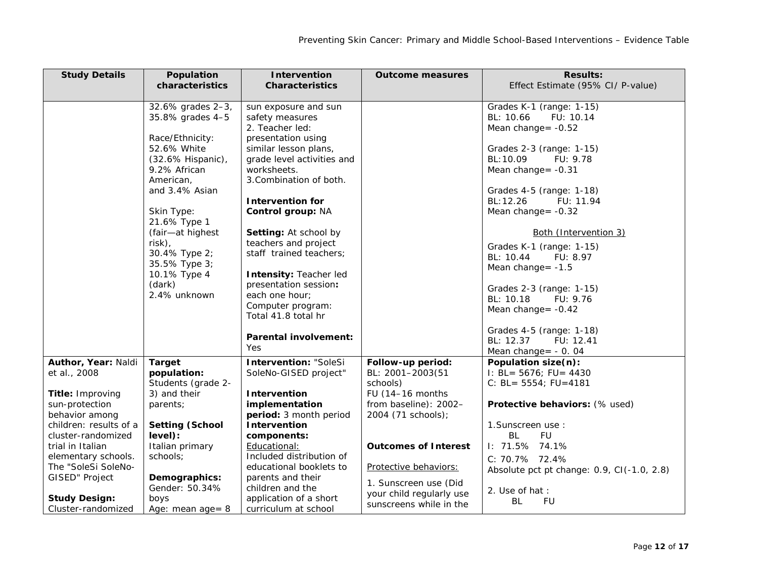| <b>Study Details</b>               | Population                         | <b>Intervention</b>          | <b>Outcome measures</b>      | <b>Results:</b>                                    |
|------------------------------------|------------------------------------|------------------------------|------------------------------|----------------------------------------------------|
|                                    | characteristics                    | <b>Characteristics</b>       |                              | Effect Estimate (95% CI/ P-value)                  |
|                                    |                                    |                              |                              |                                                    |
|                                    | 32.6% grades 2-3,                  | sun exposure and sun         |                              | Grades K-1 (range: 1-15)                           |
|                                    | 35.8% grades 4-5                   | safety measures              |                              | BL: 10.66<br>FU: 10.14                             |
|                                    |                                    | 2. Teacher led:              |                              | Mean change = $-0.52$                              |
|                                    | Race/Ethnicity:                    | presentation using           |                              |                                                    |
|                                    | 52.6% White                        | similar lesson plans,        |                              | Grades 2-3 (range: 1-15)                           |
|                                    | (32.6% Hispanic),                  | grade level activities and   |                              | BL: 10.09<br>FU: 9.78                              |
|                                    | 9.2% African                       | worksheets.                  |                              | Mean change = $-0.31$                              |
|                                    | American,                          | 3. Combination of both.      |                              |                                                    |
|                                    | and 3.4% Asian                     | <b>Intervention for</b>      |                              | Grades 4-5 (range: 1-18)<br>BL: 12.26<br>FU: 11.94 |
|                                    | Skin Type:                         | Control group: NA            |                              | Mean change = $-0.32$                              |
|                                    |                                    |                              |                              |                                                    |
|                                    | 21.6% Type 1<br>(fair-at highest   | Setting: At school by        |                              | Both (Intervention 3)                              |
|                                    | risk),                             | teachers and project         |                              |                                                    |
|                                    | 30.4% Type 2;                      | staff trained teachers;      |                              | Grades K-1 (range: 1-15)                           |
|                                    | 35.5% Type 3;                      |                              |                              | BL: 10.44<br>FU: 8.97                              |
|                                    | 10.1% Type 4                       | Intensity: Teacher led       |                              | Mean change $= -1.5$                               |
|                                    | (dark)                             | presentation session:        |                              |                                                    |
|                                    | 2.4% unknown                       | each one hour;               |                              | Grades 2-3 (range: 1-15)                           |
|                                    |                                    | Computer program:            |                              | BL: 10.18<br>FU: 9.76                              |
|                                    |                                    | Total 41.8 total hr          |                              | Mean change = $-0.42$                              |
|                                    |                                    |                              |                              |                                                    |
|                                    |                                    | <b>Parental involvement:</b> |                              | Grades 4-5 (range: 1-18)                           |
|                                    |                                    | Yes                          |                              | BL: 12.37<br>FU: 12.41                             |
|                                    |                                    |                              |                              | Mean change = - 0. 04                              |
| Author, Year: Naldi                | <b>Target</b>                      | <b>Intervention: "SoleSi</b> | Follow-up period:            | Population size(n):                                |
| et al., 2008                       | population:                        | SoleNo-GISED project"        | BL: 2001-2003(51<br>schools) | I: BL= $5676$ ; FU= 4430                           |
|                                    | Students (grade 2-<br>3) and their | Intervention                 | FU (14-16 months             | C: BL= $5554$ ; FU=4181                            |
| Title: Improving<br>sun-protection | parents;                           | implementation               | from baseline): 2002-        | Protective behaviors: (% used)                     |
| behavior among                     |                                    | period: 3 month period       | 2004 (71 schools);           |                                                    |
| children: results of a             | <b>Setting (School</b>             | Intervention                 |                              | 1. Sunscreen use:                                  |
| cluster-randomized                 | level):                            | components:                  |                              | <b>BL</b><br><b>FU</b>                             |
| trial in Italian                   | Italian primary                    | Educational:                 | <b>Outcomes of Interest</b>  | I: 71.5% 74.1%                                     |
| elementary schools.                | schools;                           | Included distribution of     |                              | C: 70.7% 72.4%                                     |
| The "SoleSi SoleNo-                |                                    | educational booklets to      | Protective behaviors:        | Absolute pct pt change: 0.9, CI(-1.0, 2.8)         |
| <b>GISED</b> " Project             | Demographics:                      | parents and their            |                              |                                                    |
|                                    | Gender: 50.34%                     | children and the             | 1. Sunscreen use (Did        | 2. Use of hat :                                    |
| <b>Study Design:</b>               | boys                               | application of a short       | your child regularly use     | <b>FU</b><br>BL                                    |
| Cluster-randomized                 | Age: mean $age = 8$                | curriculum at school         | sunscreens while in the      |                                                    |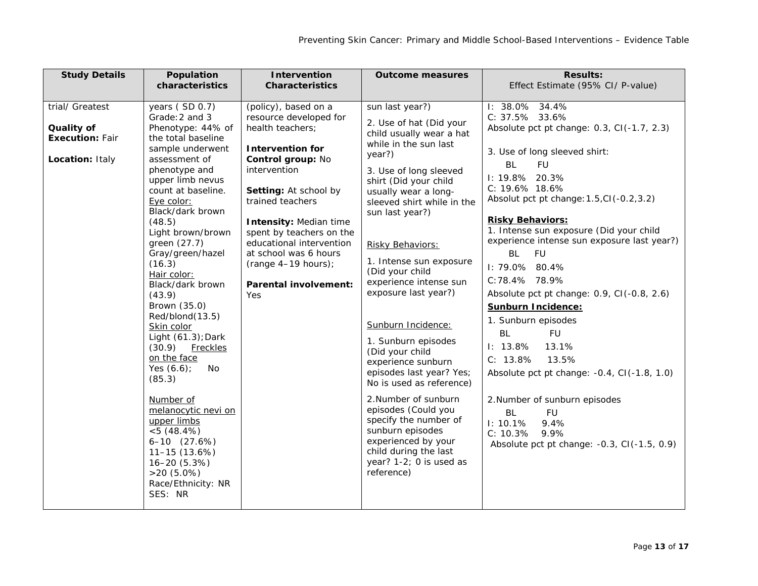| <b>Study Details</b>                                                       | Population<br>characteristics                                                                                                                                                                                                                                                                                                                                                                                                                                                                                                                                                                                                                                            | <b>Intervention</b><br><b>Characteristics</b>                                                                                                                                                                                                                                                                                                              | <b>Outcome measures</b>                                                                                                                                                                                                                                                                                                                                                                                                                                                                                                                                                                                                                                                                      | <b>Results:</b><br>Effect Estimate (95% CI/ P-value)                                                                                                                                                                                                                                                                                                                                                                                                                                                                                                                                                                                                                                                                                                                               |
|----------------------------------------------------------------------------|--------------------------------------------------------------------------------------------------------------------------------------------------------------------------------------------------------------------------------------------------------------------------------------------------------------------------------------------------------------------------------------------------------------------------------------------------------------------------------------------------------------------------------------------------------------------------------------------------------------------------------------------------------------------------|------------------------------------------------------------------------------------------------------------------------------------------------------------------------------------------------------------------------------------------------------------------------------------------------------------------------------------------------------------|----------------------------------------------------------------------------------------------------------------------------------------------------------------------------------------------------------------------------------------------------------------------------------------------------------------------------------------------------------------------------------------------------------------------------------------------------------------------------------------------------------------------------------------------------------------------------------------------------------------------------------------------------------------------------------------------|------------------------------------------------------------------------------------------------------------------------------------------------------------------------------------------------------------------------------------------------------------------------------------------------------------------------------------------------------------------------------------------------------------------------------------------------------------------------------------------------------------------------------------------------------------------------------------------------------------------------------------------------------------------------------------------------------------------------------------------------------------------------------------|
| trial/ Greatest<br>Quality of<br><b>Execution: Fair</b><br>Location: Italy | years (SD 0.7)<br>Grade: 2 and 3<br>Phenotype: 44% of<br>the total baseline<br>sample underwent<br>assessment of<br>phenotype and<br>upper limb nevus<br>count at baseline.<br>Eye color:<br>Black/dark brown<br>(48.5)<br>Light brown/brown<br>green (27.7)<br>Gray/green/hazel<br>(16.3)<br>Hair color:<br>Black/dark brown<br>(43.9)<br>Brown (35.0)<br>Red/blond(13.5)<br>Skin color<br>Light (61.3); Dark<br>(30.9)<br><b>Freckles</b><br>on the face<br>Yes $(6.6)$ ;<br>No<br>(85.3)<br>Number of<br>melanocytic nevi on<br>upper limbs<br>$< 5(48.4\%)$<br>$6 - 10$ $(27.6%)$<br>$11-15(13.6%)$<br>16-20 (5.3%)<br>$>20(5.0\%)$<br>Race/Ethnicity: NR<br>SES: NR | (policy), based on a<br>resource developed for<br>health teachers;<br><b>Intervention for</b><br>Control group: No<br>intervention<br>Setting: At school by<br>trained teachers<br><b>Intensity: Median time</b><br>spent by teachers on the<br>educational intervention<br>at school was 6 hours<br>$(range 4-19 hours):$<br>Parental involvement:<br>Yes | sun last year?)<br>2. Use of hat (Did your<br>child usually wear a hat<br>while in the sun last<br>year?)<br>3. Use of long sleeved<br>shirt (Did your child<br>usually wear a long-<br>sleeved shirt while in the<br>sun last year?)<br>Risky Behaviors:<br>1. Intense sun exposure<br>(Did your child<br>experience intense sun<br>exposure last year?)<br>Sunburn Incidence:<br>1. Sunburn episodes<br>(Did your child<br>experience sunburn<br>episodes last year? Yes;<br>No is used as reference)<br>2. Number of sunburn<br>episodes (Could you<br>specify the number of<br>sunburn episodes<br>experienced by your<br>child during the last<br>year? 1-2; 0 is used as<br>reference) | I: 38.0% 34.4%<br>C: 37.5% 33.6%<br>Absolute pct pt change: 0.3, CI(-1.7, 2.3)<br>3. Use of long sleeved shirt:<br><b>BL</b><br><b>FU</b><br>I: 19.8% 20.3%<br>$C: 19.6\%$ 18.6%<br>Absolut pct pt change: 1.5, CI(-0.2, 3.2)<br><b>Risky Behaviors:</b><br>1. Intense sun exposure (Did your child<br>experience intense sun exposure last year?)<br>BL<br><b>FU</b><br>I: 79.0% 80.4%<br>C:78.4% 78.9%<br>Absolute pct pt change: 0.9, CI(-0.8, 2.6)<br><b>Sunburn Incidence:</b><br>1. Sunburn episodes<br><b>BL</b><br><b>FU</b><br>$1: 13.8\%$<br>13.1%<br>C: 13.8%<br>13.5%<br>Absolute pct pt change: -0.4, CI(-1.8, 1.0)<br>2. Number of sunburn episodes<br><b>BL</b><br><b>FU</b><br>1: 10.1%<br>9.4%<br>C: 10.3%<br>9.9%<br>Absolute pct pt change: -0.3, CI(-1.5, 0.9) |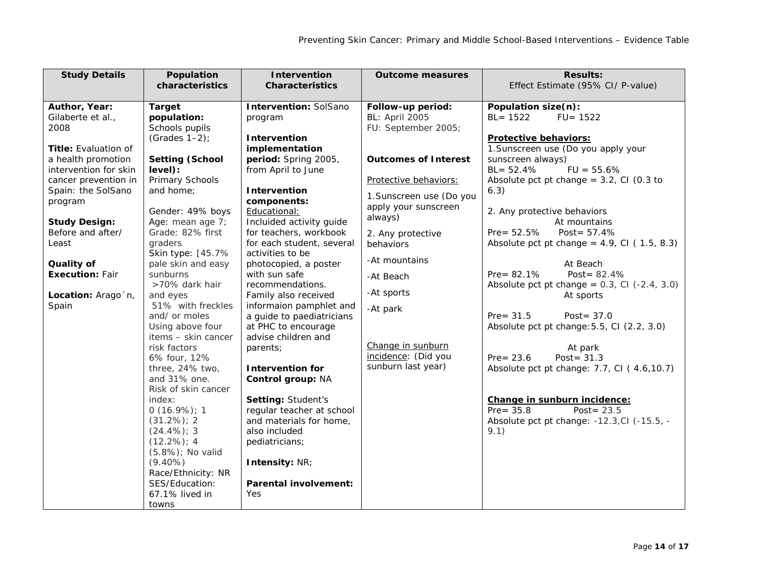| <b>Study Details</b>        | Population                          | Intervention                 | <b>Outcome measures</b>     | <b>Results:</b>                                    |
|-----------------------------|-------------------------------------|------------------------------|-----------------------------|----------------------------------------------------|
|                             | characteristics                     | <b>Characteristics</b>       |                             | Effect Estimate (95% CI/ P-value)                  |
| Author, Year:               | <b>Target</b>                       | <b>Intervention: SolSano</b> | Follow-up period:           | Population size(n):                                |
| Gilaberte et al.,           | population:                         | program                      | <b>BL: April 2005</b>       | $BL = 1522$<br>$FU = 1522$                         |
| 2008                        | Schools pupils                      |                              | FU: September 2005;         |                                                    |
|                             | (Grades $1-2$ );                    | Intervention                 |                             | Protective behaviors:                              |
| <b>Title:</b> Evaluation of |                                     | implementation               |                             | 1. Sunscreen use (Do you apply your                |
| a health promotion          | <b>Setting (School</b>              | period: Spring 2005,         | <b>Outcomes of Interest</b> | sunscreen always)                                  |
| intervention for skin       | level):                             | from April to June           |                             | $BL = 52.4%$<br>$FU = 55.6%$                       |
| cancer prevention in        | Primary Schools                     |                              | Protective behaviors:       | Absolute pct pt change = $3.2$ , CI (0.3 to        |
| Spain: the SolSano          | and home;                           | Intervention                 |                             | 6.3)                                               |
| program                     |                                     | components:                  | 1. Sunscreen use (Do you    |                                                    |
|                             | Gender: 49% boys                    | Educational:                 | apply your sunscreen        | 2. Any protective behaviors                        |
| <b>Study Design:</b>        | Age: mean age 7;                    | Incluided activity guide     | always)                     | At mountains                                       |
| Before and after/           | Grade: 82% first                    | for teachers, workbook       | 2. Any protective           | $Pre = 52.5%$<br>Post = $57.4%$                    |
| Least                       | graders                             | for each student, several    | behaviors                   | Absolute pct pt change = $4.9$ , Cl ( $1.5$ , 8.3) |
|                             | Skin type: [45.7%                   | activities to be             | -At mountains               |                                                    |
| Quality of                  | pale skin and easy                  | photocopied, a poster        |                             | At Beach                                           |
| <b>Execution: Fair</b>      | sunburns                            | with sun safe                | -At Beach                   | Pre= $82.1%$<br>Post = $82.4%$                     |
|                             | >70% dark hair                      | recommendations.             | -At sports                  | Absolute pct pt change = $0.3$ , Cl $(-2.4, 3.0)$  |
| Location: Arago 'n,         | and eyes                            | Family also received         |                             | At sports                                          |
| Spain                       | 51% with freckles                   | informaion pamphlet and      | -At park                    |                                                    |
|                             | and/ or moles                       | a guide to paediatricians    |                             | $Pre = 31.5$<br>Post = $37.0$                      |
|                             | Using above four                    | at PHC to encourage          |                             | Absolute pct pt change: 5.5, CI (2.2, 3.0)         |
|                             | items - skin cancer<br>risk factors | advise children and          | Change in sunburn           |                                                    |
|                             | 6% four, 12%                        | parents;                     | incidence: (Did you         | At park<br>Post = $31.3$<br>$Pre = 23.6$           |
|                             | three, 24% two,                     | <b>Intervention for</b>      | sunburn last year)          | Absolute pct pt change: 7.7, CI (4.6, 10.7)        |
|                             | and 31% one.                        | Control group: NA            |                             |                                                    |
|                             | Risk of skin cancer                 |                              |                             |                                                    |
|                             | index:                              | Setting: Student's           |                             | Change in sunburn incidence:                       |
|                             | $0(16.9\%)$ ; 1                     | regular teacher at school    |                             | $Pre = 35.8$<br>Post= $23.5$                       |
|                             | $(31.2\%)$ ; 2                      | and materials for home,      |                             | Absolute pct pt change: -12.3, CI (-15.5, -        |
|                             | $(24.4\%)$ ; 3                      | also included                |                             | 9.1)                                               |
|                             | $(12.2\%)$ ; 4                      | pediatricians;               |                             |                                                    |
|                             | (5.8%); No valid                    |                              |                             |                                                    |
|                             | $(9.40\%)$                          | Intensity: NR;               |                             |                                                    |
|                             | Race/Ethnicity: NR                  |                              |                             |                                                    |
|                             | SES/Education:                      | <b>Parental involvement:</b> |                             |                                                    |
|                             | 67.1% lived in                      | Yes                          |                             |                                                    |
|                             | towns                               |                              |                             |                                                    |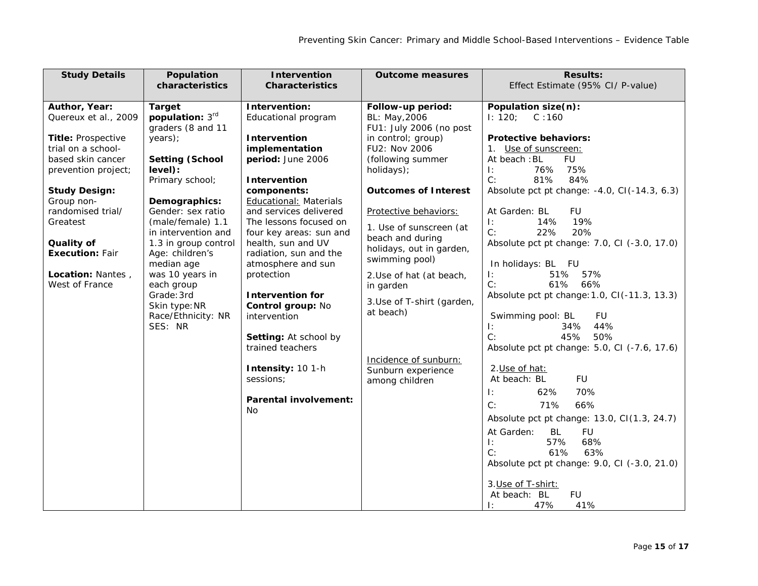| <b>Study Details</b>   | Population                    | <b>Intervention</b>                       | <b>Outcome measures</b>     | <b>Results:</b>                              |
|------------------------|-------------------------------|-------------------------------------------|-----------------------------|----------------------------------------------|
|                        | characteristics               | <b>Characteristics</b>                    |                             | Effect Estimate (95% CI/ P-value)            |
|                        |                               |                                           |                             |                                              |
| Author, Year:          | <b>Target</b>                 | Intervention:                             | Follow-up period:           | Population size(n):                          |
| Quereux et al., 2009   | population: 3rd               | Educational program                       | BL: May, 2006               | 1: 120;<br>C:160                             |
|                        | graders (8 and 11             |                                           | FU1: July 2006 (no post     |                                              |
| Title: Prospective     | years);                       | <b>Intervention</b>                       | in control; group)          | <b>Protective behaviors:</b>                 |
| trial on a school-     |                               | implementation                            | FU2: Nov 2006               | 1. Use of sunscreen:                         |
| based skin cancer      | <b>Setting (School</b>        | period: June 2006                         | (following summer           | <b>FU</b><br>At beach: BL                    |
| prevention project;    | level):                       |                                           | holidays);                  | 76%<br>75%<br>Ŀ.                             |
|                        | Primary school;               | Intervention                              |                             | C:<br>81%<br>84%                             |
| <b>Study Design:</b>   |                               | components:                               | <b>Outcomes of Interest</b> | Absolute pct pt change: -4.0, CI(-14.3, 6.3) |
| Group non-             | Demographics:                 | <b>Educational: Materials</b>             |                             |                                              |
| randomised trial/      | Gender: sex ratio             | and services delivered                    | Protective behaviors:       | <b>FU</b><br>At Garden: BL                   |
| Greatest               | (male/female) 1.1             | The lessons focused on                    | 1. Use of sunscreen (at     | 19%<br>$\mathbf{E}$<br>14%                   |
|                        | in intervention and           | four key areas: sun and                   | beach and during            | C:<br>22%<br>20%                             |
| Quality of             | 1.3 in group control          | health, sun and UV                        | holidays, out in garden,    | Absolute pct pt change: 7.0, CI (-3.0, 17.0) |
| <b>Execution: Fair</b> | Age: children's               | radiation, sun and the                    | swimming pool)              |                                              |
|                        | median age                    | atmosphere and sun                        |                             | In holidays: BL FU                           |
| Location: Nantes,      | was 10 years in               | protection                                | 2. Use of hat (at beach,    | 57%<br>51%<br>$\mathbf{E}$                   |
| West of France         | each group                    |                                           | in garden                   | C:<br>61% 66%                                |
|                        | Grade: 3rd                    | <b>Intervention for</b>                   | 3. Use of T-shirt (garden,  | Absolute pct pt change: 1.0, CI(-11.3, 13.3) |
|                        | Skin type: NR                 | Control group: No                         | at beach)                   |                                              |
|                        | Race/Ethnicity: NR<br>SES: NR | intervention                              |                             | Swimming pool: BL<br>FU<br>44%               |
|                        |                               |                                           |                             | 34%<br>Ŀ.<br>C:<br>45%<br>50%                |
|                        |                               | Setting: At school by<br>trained teachers |                             | Absolute pct pt change: 5.0, CI (-7.6, 17.6) |
|                        |                               |                                           |                             |                                              |
|                        |                               | Intensity: 10 1-h                         | Incidence of sunburn:       | 2. Use of hat:                               |
|                        |                               | sessions;                                 | Sunburn experience          | <b>FU</b><br>At beach: BL                    |
|                        |                               |                                           | among children              |                                              |
|                        |                               | <b>Parental involvement:</b>              |                             | 62%<br>70%<br>Ŀ.                             |
|                        |                               | No                                        |                             | C:<br>66%<br>71%                             |
|                        |                               |                                           |                             | Absolute pct pt change: 13.0, CI(1.3, 24.7)  |
|                        |                               |                                           |                             | At Garden:<br>BL<br><b>FU</b>                |
|                        |                               |                                           |                             | 68%<br>57%<br>$\mathbf{E}$                   |
|                        |                               |                                           |                             | C:<br>61%<br>63%                             |
|                        |                               |                                           |                             | Absolute pct pt change: 9.0, CI (-3.0, 21.0) |
|                        |                               |                                           |                             |                                              |
|                        |                               |                                           |                             | 3. Use of T-shirt:                           |
|                        |                               |                                           |                             | At beach: BL<br><b>FU</b>                    |
|                        |                               |                                           |                             | 47%<br>41%<br>$\mathbf{E}$                   |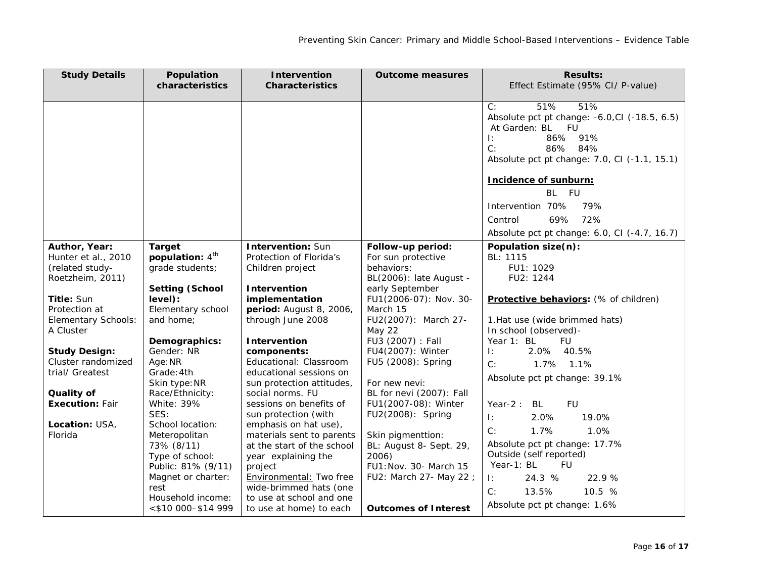| <b>Study Details</b>             | Population                  | <b>Intervention</b>        | <b>Outcome measures</b>        | <b>Results:</b>                                         |
|----------------------------------|-----------------------------|----------------------------|--------------------------------|---------------------------------------------------------|
|                                  | characteristics             | <b>Characteristics</b>     |                                | Effect Estimate (95% CI/ P-value)                       |
|                                  |                             |                            |                                |                                                         |
|                                  |                             |                            |                                | 51%<br>51%<br>C:                                        |
|                                  |                             |                            |                                | Absolute pct pt change: -6.0, CI (-18.5, 6.5)           |
|                                  |                             |                            |                                | At Garden: BL FU                                        |
|                                  |                             |                            |                                | 86%<br>91%<br>$\mathbf{E}$                              |
|                                  |                             |                            |                                | C:<br>86%<br>84%                                        |
|                                  |                             |                            |                                | Absolute pct pt change: 7.0, CI (-1.1, 15.1)            |
|                                  |                             |                            |                                | Incidence of sunburn:                                   |
|                                  |                             |                            |                                | BL FU                                                   |
|                                  |                             |                            |                                | Intervention 70%<br>79%                                 |
|                                  |                             |                            |                                | 72%<br>Control<br>69%                                   |
|                                  |                             |                            |                                | Absolute pct pt change: 6.0, CI (-4.7, 16.7)            |
| Author, Year:                    | <b>Target</b>               | <b>Intervention: Sun</b>   | Follow-up period:              | Population size(n):                                     |
| Hunter et al., 2010              | population: 4 <sup>th</sup> | Protection of Florida's    | For sun protective             | BL: 1115                                                |
| (related study-                  | grade students;             | Children project           | behaviors:                     | FU1: 1029                                               |
| Roetzheim, 2011)                 |                             |                            | BL(2006): late August -        | FU2: 1244                                               |
|                                  | <b>Setting (School</b>      | Intervention               | early September                |                                                         |
| Title: Sun                       | level):                     | implementation             | FU1(2006-07): Nov. 30-         | Protective behaviors: (% of children)                   |
| Protection at                    | Elementary school           | period: August 8, 2006,    | March 15                       |                                                         |
| Elementary Schools:<br>A Cluster | and home:                   | through June 2008          | FU2(2007): March 27-<br>May 22 | 1. Hat use (wide brimmed hats)<br>In school (observed)- |
|                                  | Demographics:               | <b>Intervention</b>        | FU3 (2007) : Fall              | Year 1: BL<br><b>FU</b>                                 |
| <b>Study Design:</b>             | Gender: NR                  | components:                | FU4(2007): Winter              | 2.0% 40.5%<br>Τ÷.                                       |
| Cluster randomized               | Age: NR                     | Educational: Classroom     | FU5 (2008): Spring             |                                                         |
| trial/ Greatest                  | Grade: 4th                  | educational sessions on    |                                | C:<br>1.7% 1.1%                                         |
|                                  | Skin type: NR               | sun protection attitudes,  | For new nevi:                  | Absolute pct pt change: 39.1%                           |
| Quality of                       | Race/Ethnicity:             | social norms. FU           | BL for nevi (2007): Fall       |                                                         |
| <b>Execution: Fair</b>           | White: 39%                  | sessions on benefits of    | FU1(2007-08): Winter           | Year- $2:$<br>BL<br><b>FU</b>                           |
|                                  | SES:                        | sun protection (with       | FU2(2008): Spring              | $\mathbf{E}$<br>2.0%<br>19.0%                           |
| Location: USA,                   | School location:            | emphasis on hat use),      |                                | C:<br>1.7%<br>1.0%                                      |
| Florida                          | Meteropolitan               | materials sent to parents  | Skin pigmenttion:              |                                                         |
|                                  | 73% (8/11)                  | at the start of the school | BL: August 8- Sept. 29,        | Absolute pct pt change: 17.7%                           |
|                                  | Type of school:             | year explaining the        | 2006)                          | Outside (self reported)                                 |
|                                  | Public: 81% (9/11)          | project                    | FU1: Nov. 30- March 15         | Year-1: BL<br><b>FU</b>                                 |
|                                  | Magnet or charter:          | Environmental: Two free    | FU2: March 27- May 22 ;        | 24.3 %<br>$\mathbb{R}$<br>22.9%                         |
|                                  | rest                        | wide-brimmed hats (one     |                                | 10.5 %<br>C:<br>13.5%                                   |
|                                  | Household income:           | to use at school and one   |                                | Absolute pct pt change: 1.6%                            |
|                                  | <\$10 000-\$14 999          | to use at home) to each    | <b>Outcomes of Interest</b>    |                                                         |